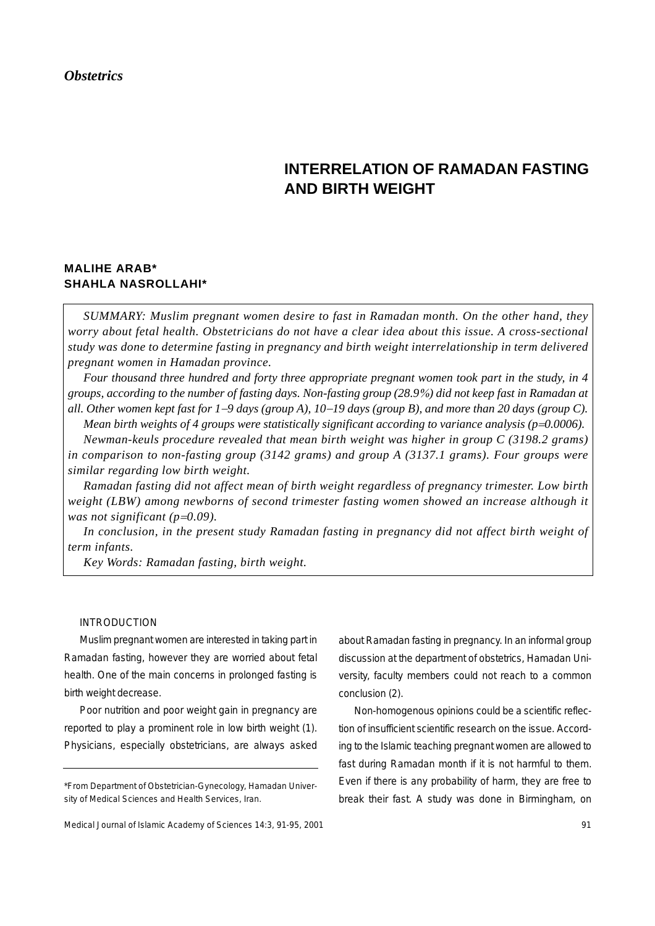## *Obstetrics*

# **INTERRELATION OF RAMADAN FASTING AND BIRTH WEIGHT**

# **MALIHE ARAB\* SHAHLA NASROLLAHI\***

*SUMMARY: Muslim pregnant women desire to fast in Ramadan month. On the other hand, they worry about fetal health. Obstetricians do not have a clear idea about this issue. A cross-sectional study was done to determine fasting in pregnancy and birth weight interrelationship in term delivered pregnant women in Hamadan province.*

*Four thousand three hundred and forty three appropriate pregnant women took part in the study, in 4 groups, according to the number of fasting days. Non-fasting group (28.9*%*) did not keep fast in Ramadan at all. Other women kept fast for 1*−*9 days (group A), 10*−*19 days (group B), and more than 20 days (group C).*

*Mean birth weights of 4 groups were statistically significant according to variance analysis (p=0.0006). Newman-keuls procedure revealed that mean birth weight was higher in group C (3198.2 grams)*

*in comparison to non-fasting group (3142 grams) and group A (3137.1 grams). Four groups were similar regarding low birth weight.*

*Ramadan fasting did not affect mean of birth weight regardless of pregnancy trimester. Low birth weight (LBW) among newborns of second trimester fasting women showed an increase although it was not significant (p*=*0.09).*

*In conclusion, in the present study Ramadan fasting in pregnancy did not affect birth weight of term infants.*

*Key Words: Ramadan fasting, birth weight.*

#### INTRODUCTION

Muslim pregnant women are interested in taking part in Ramadan fasting, however they are worried about fetal health. One of the main concerns in prolonged fasting is birth weight decrease.

Poor nutrition and poor weight gain in pregnancy are reported to play a prominent role in low birth weight (1). Physicians, especially obstetricians, are always asked about Ramadan fasting in pregnancy. In an informal group discussion at the department of obstetrics, Hamadan University, faculty members could not reach to a common conclusion (2).

Non-homogenous opinions could be a scientific reflection of insufficient scientific research on the issue. According to the Islamic teaching pregnant women are allowed to fast during Ramadan month if it is not harmful to them. Even if there is any probability of harm, they are free to break their fast. A study was done in Birmingham, on

<sup>\*</sup>From Department of Obstetrician-Gynecology, Hamadan University of Medical Sciences and Health Services, Iran.

Medical Journal of Islamic Academy of Sciences 14:3, 91-95, 2001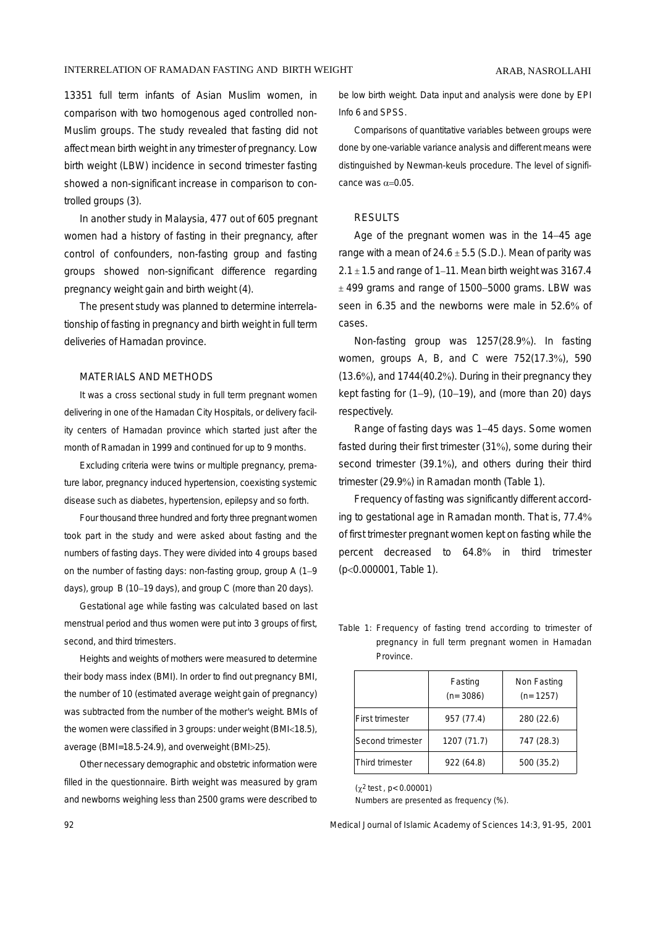13351 full term infants of Asian Muslim women, in comparison with two homogenous aged controlled non-Muslim groups. The study revealed that fasting did not affect mean birth weight in any trimester of pregnancy. Low birth weight (LBW) incidence in second trimester fasting showed a non-significant increase in comparison to controlled groups (3).

In another study in Malaysia, 477 out of 605 pregnant women had a history of fasting in their pregnancy, after control of confounders, non-fasting group and fasting groups showed non-significant difference regarding pregnancy weight gain and birth weight (4).

The present study was planned to determine interrelationship of fasting in pregnancy and birth weight in full term deliveries of Hamadan province.

#### MATERIALS AND METHODS

It was a cross sectional study in full term pregnant women delivering in one of the Hamadan City Hospitals, or delivery facility centers of Hamadan province which started just after the month of Ramadan in 1999 and continued for up to 9 months.

Excluding criteria were twins or multiple pregnancy, premature labor, pregnancy induced hypertension, coexisting systemic disease such as diabetes, hypertension, epilepsy and so forth.

Four thousand three hundred and forty three pregnant women took part in the study and were asked about fasting and the numbers of fasting days. They were divided into 4 groups based on the number of fasting days: non-fasting group, group A (1−9 days), group B (10−19 days), and group C (more than 20 days).

Gestational age while fasting was calculated based on last menstrual period and thus women were put into 3 groups of first, second, and third trimesters.

Heights and weights of mothers were measured to determine their body mass index (BMI). In order to find out pregnancy BMI, the number of 10 (estimated average weight gain of pregnancy) was subtracted from the number of the mother's weight. BMIs of the women were classified in 3 groups: under weight (BMI<18.5), average (BMI=18.5-24.9), and overweight (BMI>25).

Other necessary demographic and obstetric information were filled in the questionnaire. Birth weight was measured by gram and newborns weighing less than 2500 grams were described to be low birth weight. Data input and analysis were done by EPI Info 6 and SPSS.

Comparisons of quantitative variables between groups were done by one-variable variance analysis and different means were distinguished by Newman-keuls procedure. The level of significance was  $\alpha$ =0.05.

#### RESULTS

Age of the pregnant women was in the 14−45 age range with a mean of  $24.6 \pm 5.5$  (S.D.). Mean of parity was 2.1 ± 1.5 and range of 1−11. Mean birth weight was 3167.4 ± 499 grams and range of 1500−5000 grams. LBW was seen in 6.35 and the newborns were male in 52.6% of cases.

Non-fasting group was 1257(28.9%). In fasting women, groups A, B, and C were 752(17.3%), 590 (13.6%), and 1744(40.2%). During in their pregnancy they kept fasting for (1−9), (10−19), and (more than 20) days respectively.

Range of fasting days was 1−45 days. Some women fasted during their first trimester (31%), some during their second trimester (39.1%), and others during their third trimester (29.9%) in Ramadan month (Table 1).

Frequency of fasting was significantly different according to gestational age in Ramadan month. That is, 77.4% of first trimester pregnant women kept on fasting while the percent decreased to 64.8% in third trimester (p<0.000001, Table 1).

Table 1: Frequency of fasting trend according to trimester of pregnancy in full term pregnant women in Hamadan **Province** 

|                  | Fasting<br>$(n=3086)$ | Non Fasting<br>$(n=1257)$ |
|------------------|-----------------------|---------------------------|
| First trimester  | 957 (77.4)            | 280 (22.6)                |
| Second trimester | 1207 (71.7)           | 747 (28.3)                |
| Third trimester  | 922 (64.8)            | 500 (35.2)                |

 $(x^2 \text{ test }$ , p< 0.00001)

Numbers are presented as frequency (%).

92 Medical Journal of Islamic Academy of Sciences 14:3, 91-95, 2001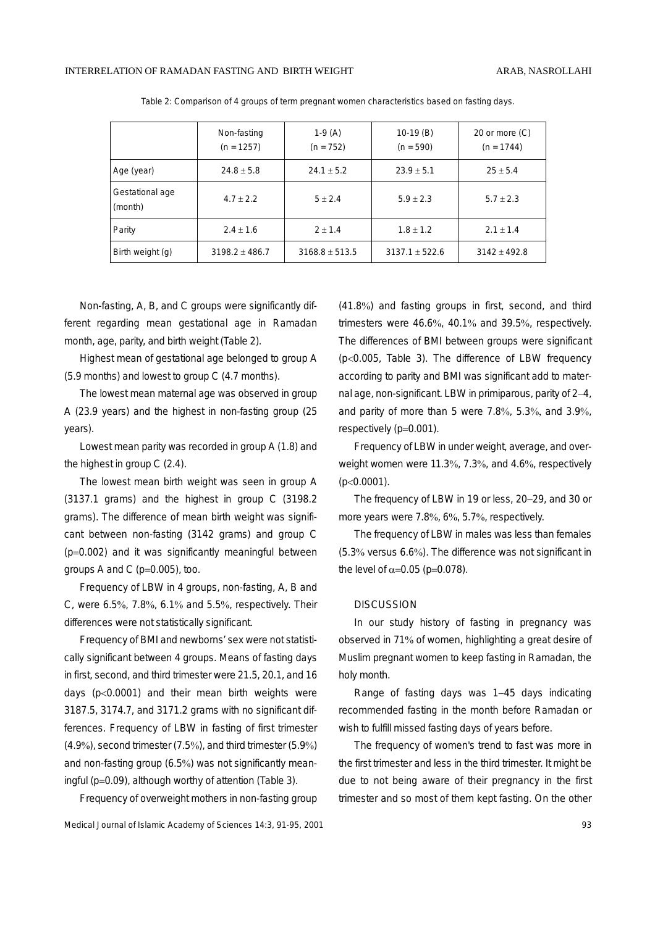|                            | Non-fasting<br>$(n = 1257)$ | $1-9(A)$<br>$(n = 752)$ | $10-19(B)$<br>$(n = 590)$ | 20 or more (C)<br>$(n = 1744)$ |
|----------------------------|-----------------------------|-------------------------|---------------------------|--------------------------------|
| Age (year)                 | $24.8 \pm 5.8$              | $24.1 \pm 5.2$          | $23.9 + 5.1$              | $25 + 5.4$                     |
| Gestational age<br>(month) | $4.7 + 2.2$                 | $5 + 2.4$               | $5.9 + 2.3$               | $5.7 + 2.3$                    |
| Parity                     | $2.4 \pm 1.6$               | $2 + 1.4$               | $1.8 \pm 1.2$             | $2.1 \pm 1.4$                  |
| Birth weight (g)           | $3198.2 \pm 486.7$          | $3168.8 + 513.5$        | $3137.1 + 522.6$          | $3142 + 492.8$                 |

Table 2: Comparison of 4 groups of term pregnant women characteristics based on fasting days.

Non-fasting, A, B, and C groups were significantly different regarding mean gestational age in Ramadan month, age, parity, and birth weight (Table 2).

Highest mean of gestational age belonged to group A (5.9 months) and lowest to group C (4.7 months).

The lowest mean maternal age was observed in group A (23.9 years) and the highest in non-fasting group (25 years).

Lowest mean parity was recorded in group A (1.8) and the highest in group C (2.4).

The lowest mean birth weight was seen in group A (3137.1 grams) and the highest in group C (3198.2 grams). The difference of mean birth weight was significant between non-fasting (3142 grams) and group C (p=0.002) and it was significantly meaningful between groups A and C (p=0.005), too.

Frequency of LBW in 4 groups, non-fasting, A, B and C, were 6.5%, 7.8%, 6.1% and 5.5%, respectively. Their differences were not statistically significant.

Frequency of BMI and newborns' sex were not statistically significant between 4 groups. Means of fasting days in first, second, and third trimester were 21.5, 20.1, and 16 days (p<0.0001) and their mean birth weights were 3187.5, 3174.7, and 3171.2 grams with no significant differences. Frequency of LBW in fasting of first trimester (4.9%), second trimester (7.5%), and third trimester (5.9%) and non-fasting group (6.5%) was not significantly meaningful (p=0.09), although worthy of attention (Table 3).

Frequency of overweight mothers in non-fasting group

Medical Journal of Islamic Academy of Sciences 14:3, 91-95, 2001 **93** and the state of the state of the state of the state of the state of the state of the state of the state of the state of the state of the state of the s

(41.8%) and fasting groups in first, second, and third trimesters were 46.6%, 40.1% and 39.5%, respectively. The differences of BMI between groups were significant (p<0.005, Table 3). The difference of LBW frequency according to parity and BMI was significant add to maternal age, non-significant. LBW in primiparous, parity of 2−4, and parity of more than 5 were 7.8%, 5.3%, and 3.9%, respectively (p=0.001).

Frequency of LBW in under weight, average, and overweight women were 11.3%, 7.3%, and 4.6%, respectively (p<0.0001).

The frequency of LBW in 19 or less, 20−29, and 30 or more years were 7.8%, 6%, 5.7%, respectively.

The frequency of LBW in males was less than females (5.3% versus 6.6%). The difference was not significant in the level of  $\alpha$ =0.05 (p=0.078).

#### **DISCUSSION**

In our study history of fasting in pregnancy was observed in 71% of women, highlighting a great desire of Muslim pregnant women to keep fasting in Ramadan, the holy month.

Range of fasting days was 1−45 days indicating recommended fasting in the month before Ramadan or wish to fulfill missed fasting days of years before.

The frequency of women's trend to fast was more in the first trimester and less in the third trimester. It might be due to not being aware of their pregnancy in the first trimester and so most of them kept fasting. On the other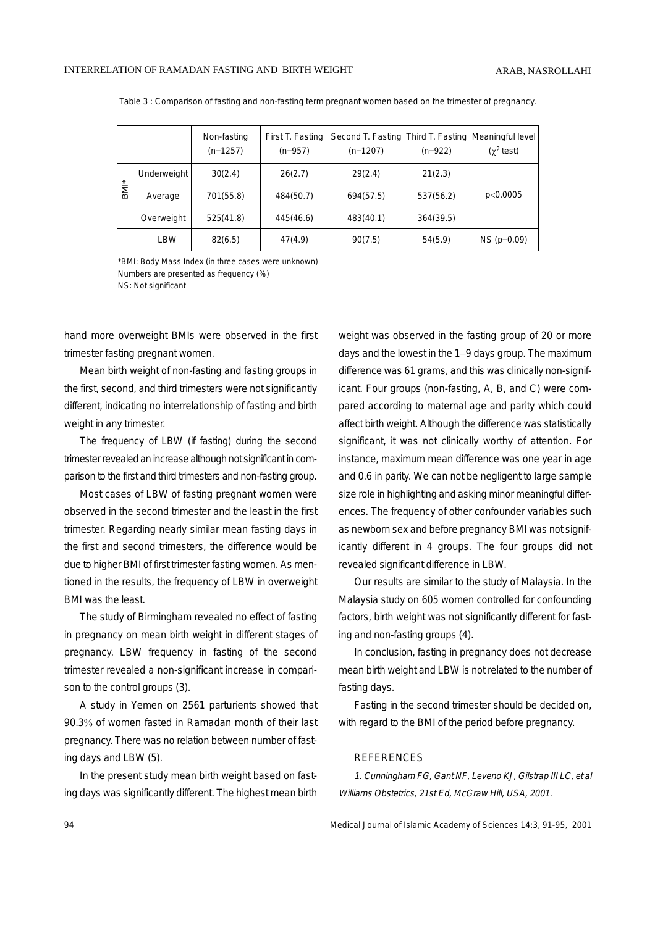|            |             | Non-fasting<br>$(n=1257)$ | First T. Fasting<br>$(n=957)$ | Second T. Fasting Third T. Fasting Meaningful level<br>$(n=1207)$ | $(n=922)$ | $(\chi^2$ test) |
|------------|-------------|---------------------------|-------------------------------|-------------------------------------------------------------------|-----------|-----------------|
| <b>BMI</b> | Underweight | 30(2.4)                   | 26(2.7)                       | 29(2.4)                                                           | 21(2.3)   |                 |
|            | Average     | 701(55.8)                 | 484(50.7)                     | 694(57.5)                                                         | 537(56.2) | p<0.0005        |
|            | Overweight  | 525(41.8)                 | 445(46.6)                     | 483(40.1)                                                         | 364(39.5) |                 |
|            | LBW         | 82(6.5)                   | 47(4.9)                       | 90(7.5)                                                           | 54(5.9)   | $NS (p=0.09)$   |

Table 3 : Comparison of fasting and non-fasting term pregnant women based on the trimester of pregnancy.

\*BMI: Body Mass Index (in three cases were unknown) Numbers are presented as frequency (%) NS: Not significant

hand more overweight BMIs were observed in the first trimester fasting pregnant women.

Mean birth weight of non-fasting and fasting groups in the first, second, and third trimesters were not significantly different, indicating no interrelationship of fasting and birth weight in any trimester.

The frequency of LBW (if fasting) during the second trimester revealed an increase although not significant in comparison to the first and third trimesters and non-fasting group.

Most cases of LBW of fasting pregnant women were observed in the second trimester and the least in the first trimester. Regarding nearly similar mean fasting days in the first and second trimesters, the difference would be due to higher BMI of first trimester fasting women. As mentioned in the results, the frequency of LBW in overweight BMI was the least.

The study of Birmingham revealed no effect of fasting in pregnancy on mean birth weight in different stages of pregnancy. LBW frequency in fasting of the second trimester revealed a non-significant increase in comparison to the control groups (3).

A study in Yemen on 2561 parturients showed that 90.3% of women fasted in Ramadan month of their last pregnancy. There was no relation between number of fasting days and LBW (5).

In the present study mean birth weight based on fasting days was significantly different. The highest mean birth weight was observed in the fasting group of 20 or more days and the lowest in the 1−9 days group. The maximum difference was 61 grams, and this was clinically non-significant. Four groups (non-fasting, A, B, and C) were compared according to maternal age and parity which could affect birth weight. Although the difference was statistically significant, it was not clinically worthy of attention. For instance, maximum mean difference was one year in age and 0.6 in parity. We can not be negligent to large sample size role in highlighting and asking minor meaningful differences. The frequency of other confounder variables such as newborn sex and before pregnancy BMI was not significantly different in 4 groups. The four groups did not revealed significant difference in LBW.

Our results are similar to the study of Malaysia. In the Malaysia study on 605 women controlled for confounding factors, birth weight was not significantly different for fasting and non-fasting groups (4).

In conclusion, fasting in pregnancy does not decrease mean birth weight and LBW is not related to the number of fasting days.

Fasting in the second trimester should be decided on, with regard to the BMI of the period before pregnancy.

#### REFERENCES

1. Cunningham FG, Gant NF, Leveno KJ, Gilstrap III LC, et al Williams Obstetrics, 21st Ed, McGraw Hill, USA, 2001.

94 Medical Journal of Islamic Academy of Sciences 14:3, 91-95, 2001